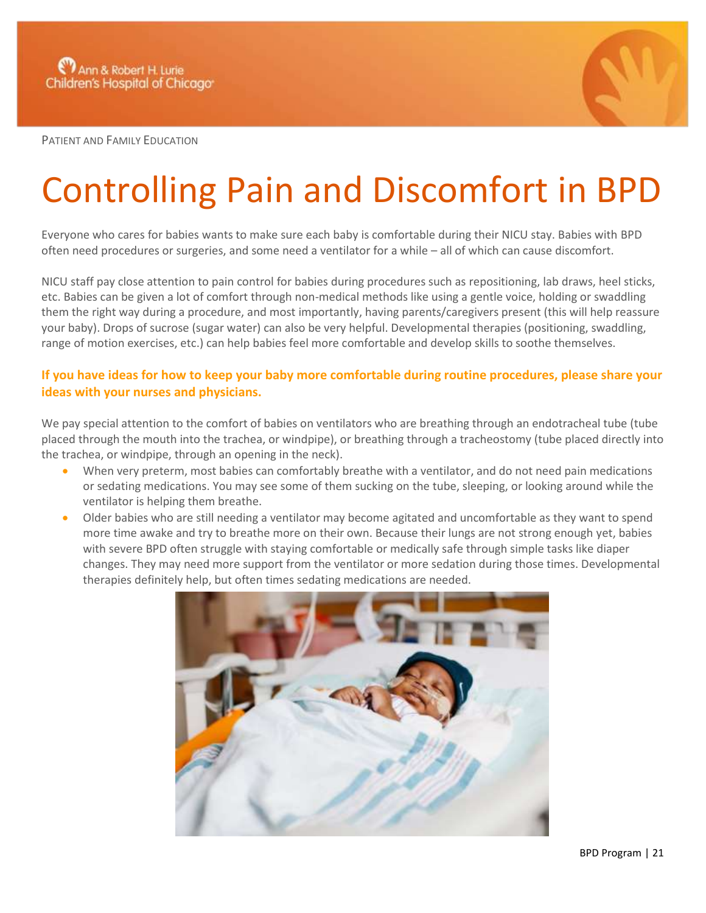

PATIENT AND FAMILY EDUCATION

## Controlling Pain and Discomfort in BPD

Everyone who cares for babies wants to make sure each baby is comfortable during their NICU stay. Babies with BPD often need procedures or surgeries, and some need a ventilator for a while – all of which can cause discomfort.

NICU staff pay close attention to pain control for babies during procedures such as repositioning, lab draws, heel sticks, etc. Babies can be given a lot of comfort through non-medical methods like using a gentle voice, holding or swaddling them the right way during a procedure, and most importantly, having parents/caregivers present (this will help reassure your baby). Drops of sucrose (sugar water) can also be very helpful. Developmental therapies (positioning, swaddling, range of motion exercises, etc.) can help babies feel more comfortable and develop skills to soothe themselves.

## **If you have ideas for how to keep your baby more comfortable during routine procedures, please share your ideas with your nurses and physicians.**

We pay special attention to the comfort of babies on ventilators who are breathing through an endotracheal tube (tube placed through the mouth into the trachea, or windpipe), or breathing through a tracheostomy (tube placed directly into the trachea, or windpipe, through an opening in the neck).

- When very preterm, most babies can comfortably breathe with a ventilator, and do not need pain medications or sedating medications. You may see some of them sucking on the tube, sleeping, or looking around while the ventilator is helping them breathe.
- Older babies who are still needing a ventilator may become agitated and uncomfortable as they want to spend more time awake and try to breathe more on their own. Because their lungs are not strong enough yet, babies with severe BPD often struggle with staying comfortable or medically safe through simple tasks like diaper changes. They may need more support from the ventilator or more sedation during those times. Developmental therapies definitely help, but often times sedating medications are needed.